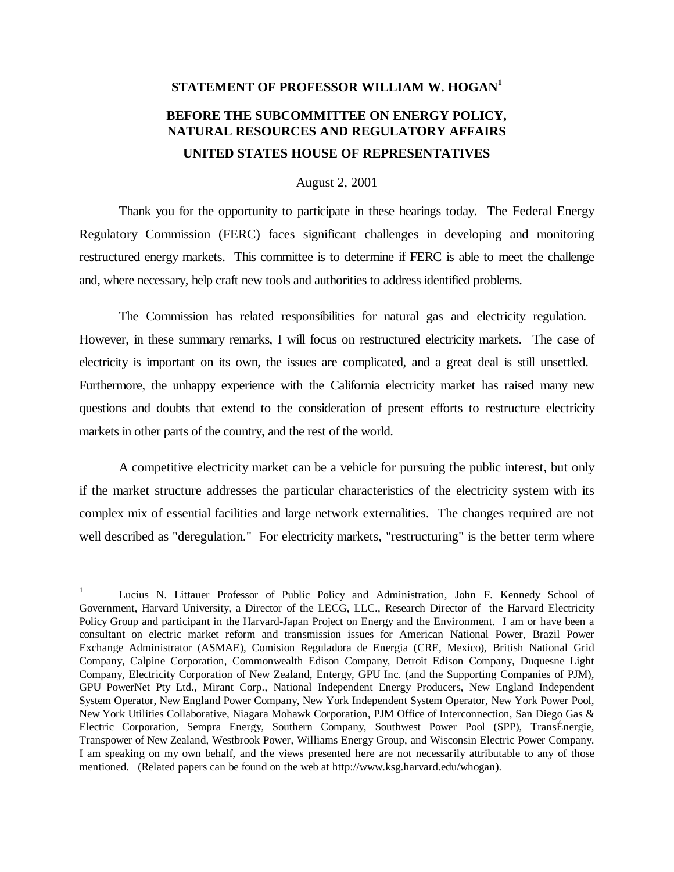## **STATEMENT OF PROFESSOR WILLIAM W. HOGAN<sup>1</sup> BEFORE THE SUBCOMMITTEE ON ENERGY POLICY, NATURAL RESOURCES AND REGULATORY AFFAIRS UNITED STATES HOUSE OF REPRESENTATIVES**

August 2, 2001

Thank you for the opportunity to participate in these hearings today. The Federal Energy Regulatory Commission (FERC) faces significant challenges in developing and monitoring restructured energy markets. This committee is to determine if FERC is able to meet the challenge and, where necessary, help craft new tools and authorities to address identified problems.

The Commission has related responsibilities for natural gas and electricity regulation. However, in these summary remarks, I will focus on restructured electricity markets. The case of electricity is important on its own, the issues are complicated, and a great deal is still unsettled. Furthermore, the unhappy experience with the California electricity market has raised many new questions and doubts that extend to the consideration of present efforts to restructure electricity markets in other parts of the country, and the rest of the world.

A competitive electricity market can be a vehicle for pursuing the public interest, but only if the market structure addresses the particular characteristics of the electricity system with its complex mix of essential facilities and large network externalities. The changes required are not well described as "deregulation." For electricity markets, "restructuring" is the better term where

 $\overline{\phantom{a}}$ 

<sup>1</sup> Lucius N. Littauer Professor of Public Policy and Administration, John F. Kennedy School of Government, Harvard University, a Director of the LECG, LLC., Research Director of the Harvard Electricity Policy Group and participant in the Harvard-Japan Project on Energy and the Environment. I am or have been a consultant on electric market reform and transmission issues for American National Power, Brazil Power Exchange Administrator (ASMAE), Comision Reguladora de Energia (CRE, Mexico), British National Grid Company, Calpine Corporation, Commonwealth Edison Company, Detroit Edison Company, Duquesne Light Company, Electricity Corporation of New Zealand, Entergy, GPU Inc. (and the Supporting Companies of PJM), GPU PowerNet Pty Ltd., Mirant Corp., National Independent Energy Producers, New England Independent System Operator, New England Power Company, New York Independent System Operator, New York Power Pool, New York Utilities Collaborative, Niagara Mohawk Corporation, PJM Office of Interconnection, San Diego Gas & Electric Corporation, Sempra Energy, Southern Company, Southwest Power Pool (SPP), TransÉnergie, Transpower of New Zealand, Westbrook Power, Williams Energy Group, and Wisconsin Electric Power Company. I am speaking on my own behalf, and the views presented here are not necessarily attributable to any of those mentioned. (Related papers can be found on the web at http://www.ksg.harvard.edu/whogan).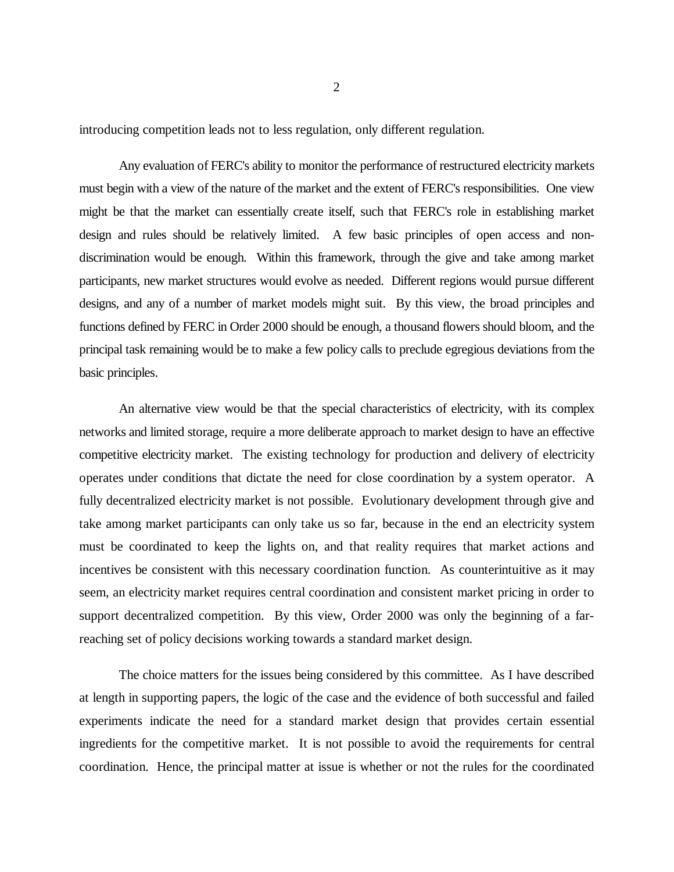introducing competition leads not to less regulation, only different regulation.

Any evaluation of FERC's ability to monitor the performance of restructured electricity markets must begin with a view of the nature of the market and the extent of FERC's responsibilities. One view might be that the market can essentially create itself, such that FERC's role in establishing market design and rules should be relatively limited. A few basic principles of open access and nondiscrimination would be enough. Within this framework, through the give and take among market participants, new market structures would evolve as needed. Different regions would pursue different designs, and any of a number of market models might suit. By this view, the broad principles and functions defined by FERC in Order 2000 should be enough, a thousand flowers should bloom, and the principal task remaining would be to make a few policy calls to preclude egregious deviations from the basic principles.

An alternative view would be that the special characteristics of electricity, with its complex networks and limited storage, require a more deliberate approach to market design to have an effective competitive electricity market. The existing technology for production and delivery of electricity operates under conditions that dictate the need for close coordination by a system operator. A fully decentralized electricity market is not possible. Evolutionary development through give and take among market participants can only take us so far, because in the end an electricity system must be coordinated to keep the lights on, and that reality requires that market actions and incentives be consistent with this necessary coordination function. As counterintuitive as it may seem, an electricity market requires central coordination and consistent market pricing in order to support decentralized competition. By this view, Order 2000 was only the beginning of a farreaching set of policy decisions working towards a standard market design.

The choice matters for the issues being considered by this committee. As I have described at length in supporting papers, the logic of the case and the evidence of both successful and failed experiments indicate the need for a standard market design that provides certain essential ingredients for the competitive market. It is not possible to avoid the requirements for central coordination. Hence, the principal matter at issue is whether or not the rules for the coordinated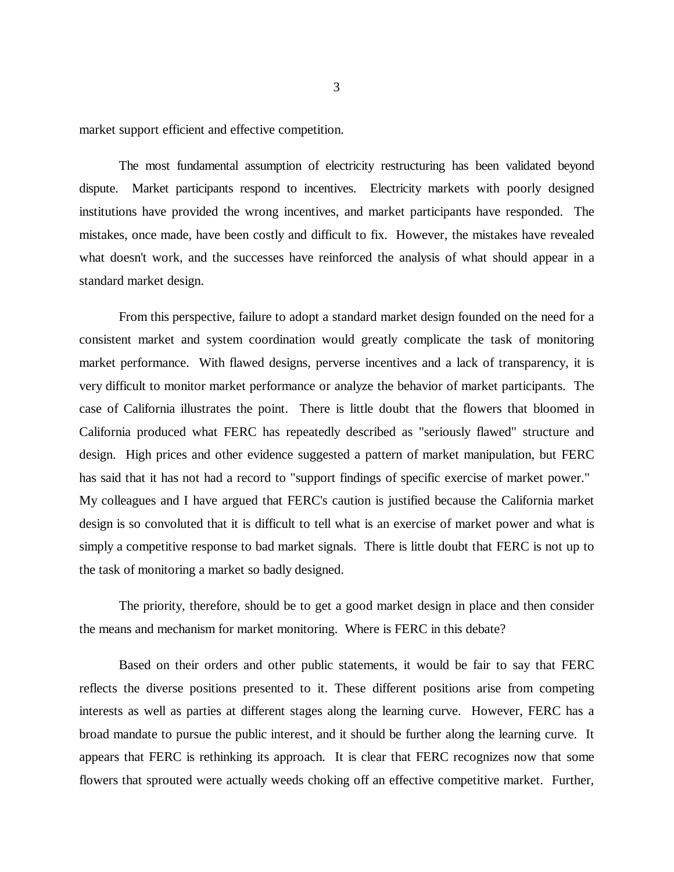market support efficient and effective competition.

The most fundamental assumption of electricity restructuring has been validated beyond dispute. Market participants respond to incentives. Electricity markets with poorly designed institutions have provided the wrong incentives, and market participants have responded. The mistakes, once made, have been costly and difficult to fix. However, the mistakes have revealed what doesn't work, and the successes have reinforced the analysis of what should appear in a standard market design.

From this perspective, failure to adopt a standard market design founded on the need for a consistent market and system coordination would greatly complicate the task of monitoring market performance. With flawed designs, perverse incentives and a lack of transparency, it is very difficult to monitor market performance or analyze the behavior of market participants. The case of California illustrates the point. There is little doubt that the flowers that bloomed in California produced what FERC has repeatedly described as "seriously flawed" structure and design. High prices and other evidence suggested a pattern of market manipulation, but FERC has said that it has not had a record to "support findings of specific exercise of market power." My colleagues and I have argued that FERC's caution is justified because the California market design is so convoluted that it is difficult to tell what is an exercise of market power and what is simply a competitive response to bad market signals. There is little doubt that FERC is not up to the task of monitoring a market so badly designed.

The priority, therefore, should be to get a good market design in place and then consider the means and mechanism for market monitoring. Where is FERC in this debate?

Based on their orders and other public statements, it would be fair to say that FERC reflects the diverse positions presented to it. These different positions arise from competing interests as well as parties at different stages along the learning curve. However, FERC has a broad mandate to pursue the public interest, and it should be further along the learning curve. It appears that FERC is rethinking its approach. It is clear that FERC recognizes now that some flowers that sprouted were actually weeds choking off an effective competitive market. Further,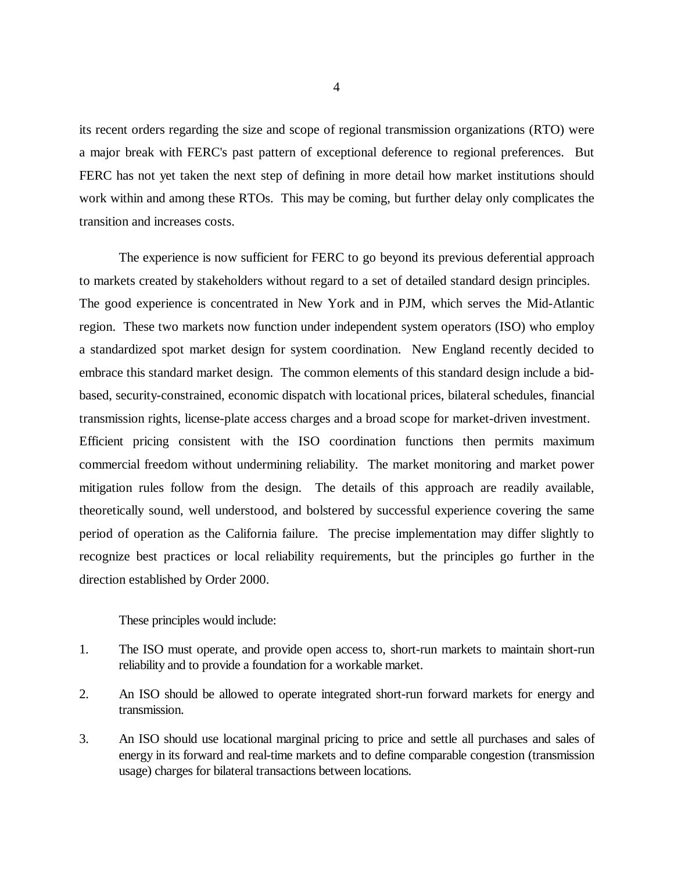its recent orders regarding the size and scope of regional transmission organizations (RTO) were a major break with FERC's past pattern of exceptional deference to regional preferences. But FERC has not yet taken the next step of defining in more detail how market institutions should work within and among these RTOs. This may be coming, but further delay only complicates the transition and increases costs.

The experience is now sufficient for FERC to go beyond its previous deferential approach to markets created by stakeholders without regard to a set of detailed standard design principles. The good experience is concentrated in New York and in PJM, which serves the Mid-Atlantic region. These two markets now function under independent system operators (ISO) who employ a standardized spot market design for system coordination. New England recently decided to embrace this standard market design. The common elements of this standard design include a bidbased, security-constrained, economic dispatch with locational prices, bilateral schedules, financial transmission rights, license-plate access charges and a broad scope for market-driven investment. Efficient pricing consistent with the ISO coordination functions then permits maximum commercial freedom without undermining reliability. The market monitoring and market power mitigation rules follow from the design. The details of this approach are readily available, theoretically sound, well understood, and bolstered by successful experience covering the same period of operation as the California failure. The precise implementation may differ slightly to recognize best practices or local reliability requirements, but the principles go further in the direction established by Order 2000.

## These principles would include:

- 1. The ISO must operate, and provide open access to, short-run markets to maintain short-run reliability and to provide a foundation for a workable market.
- 2. An ISO should be allowed to operate integrated short-run forward markets for energy and transmission.
- 3. An ISO should use locational marginal pricing to price and settle all purchases and sales of energy in its forward and real-time markets and to define comparable congestion (transmission usage) charges for bilateral transactions between locations.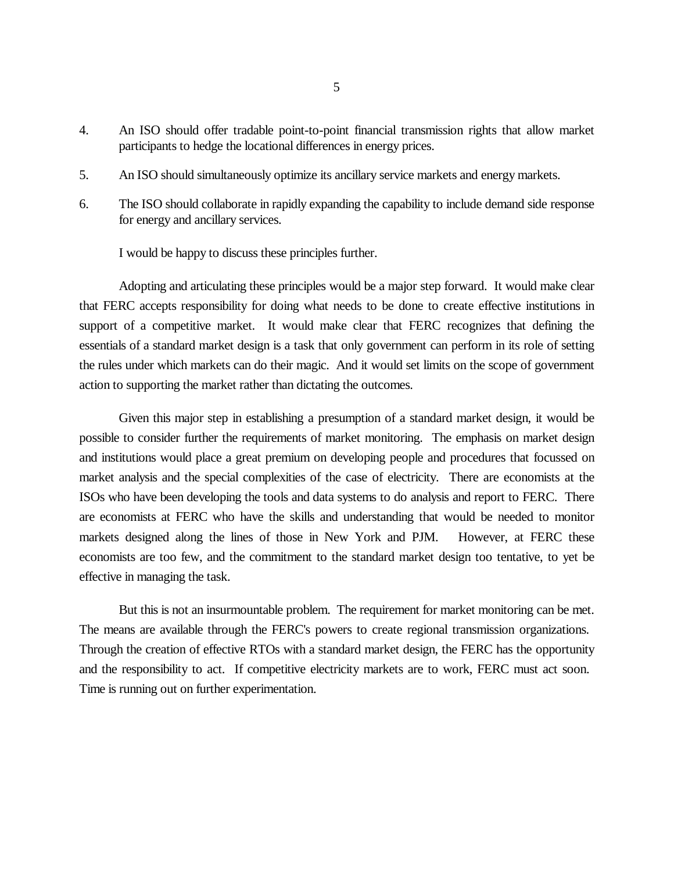- 4. An ISO should offer tradable point-to-point financial transmission rights that allow market participants to hedge the locational differences in energy prices.
- 5. An ISO should simultaneously optimize its ancillary service markets and energy markets.
- 6. The ISO should collaborate in rapidly expanding the capability to include demand side response for energy and ancillary services.

I would be happy to discuss these principles further.

Adopting and articulating these principles would be a major step forward. It would make clear that FERC accepts responsibility for doing what needs to be done to create effective institutions in support of a competitive market. It would make clear that FERC recognizes that defining the essentials of a standard market design is a task that only government can perform in its role of setting the rules under which markets can do their magic. And it would set limits on the scope of government action to supporting the market rather than dictating the outcomes.

Given this major step in establishing a presumption of a standard market design, it would be possible to consider further the requirements of market monitoring. The emphasis on market design and institutions would place a great premium on developing people and procedures that focussed on market analysis and the special complexities of the case of electricity. There are economists at the ISOs who have been developing the tools and data systems to do analysis and report to FERC. There are economists at FERC who have the skills and understanding that would be needed to monitor markets designed along the lines of those in New York and PJM. However, at FERC these economists are too few, and the commitment to the standard market design too tentative, to yet be effective in managing the task.

But this is not an insurmountable problem. The requirement for market monitoring can be met. The means are available through the FERC's powers to create regional transmission organizations. Through the creation of effective RTOs with a standard market design, the FERC has the opportunity and the responsibility to act. If competitive electricity markets are to work, FERC must act soon. Time is running out on further experimentation.